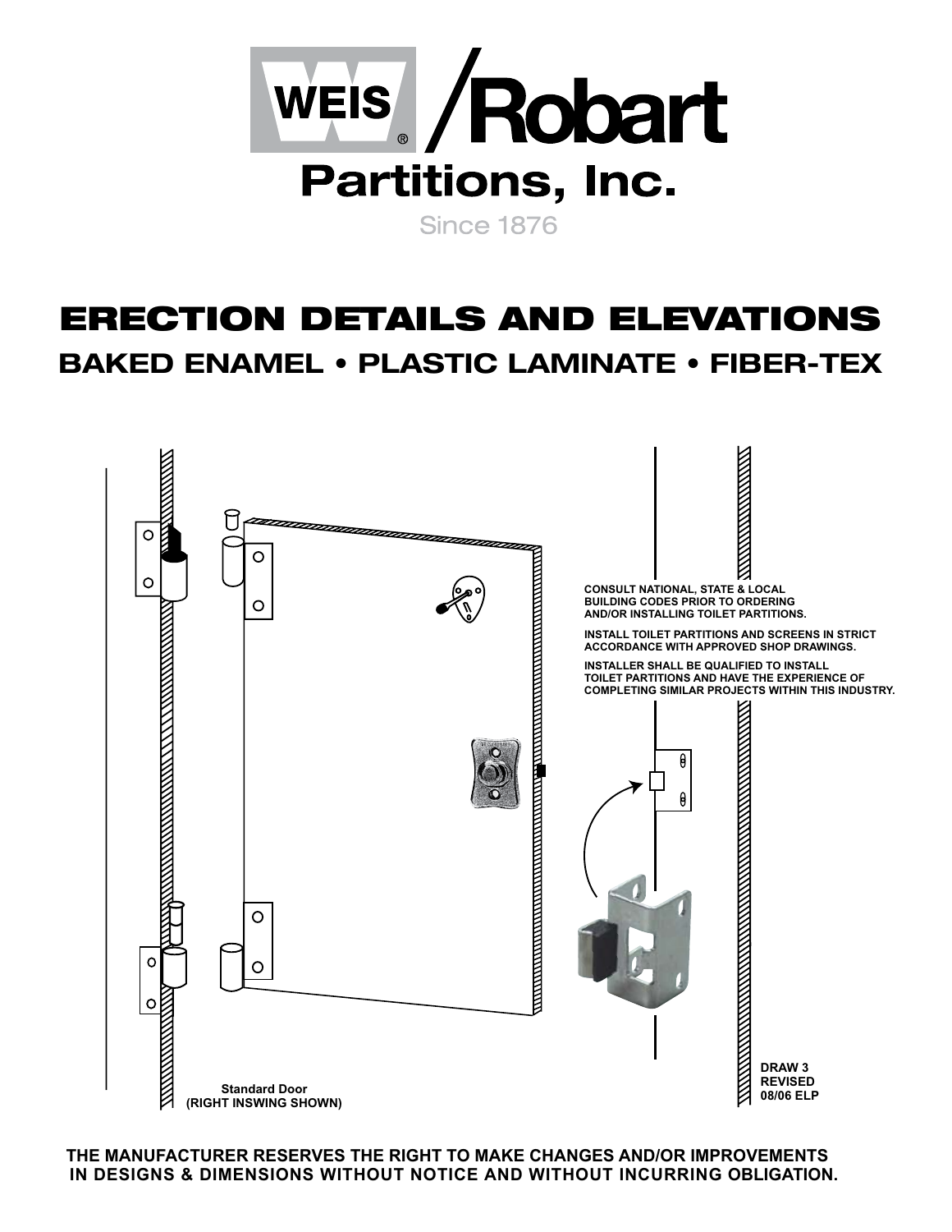

## ERECTION DETAILS AND ELEVATIONS **BAKED ENAMEL • PLASTIC LAMINATE • FIBER-TEX**



**THE MANUFACTURER RESERVES THE RIGHT TO MAKE CHANGES AND/OR IMPROVEMENTS IN DESIGNS & DIMENSIONS WITHOUT NOTICE AND WITHOUT INCURRING OBLIGATION.**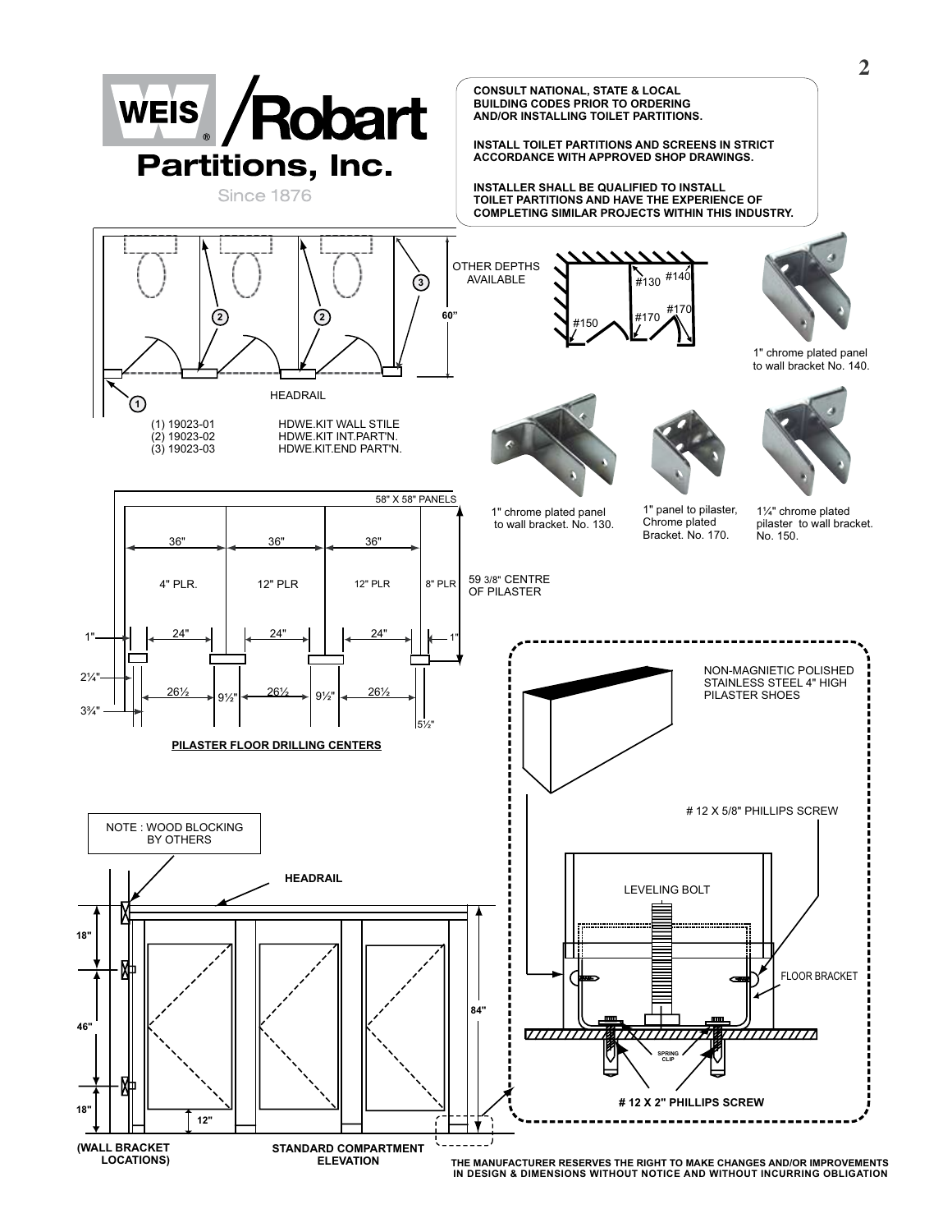

**IN DESIGN & DIMENSIONS WITHOUT NOTICE AND WITHOUT INCURRING OBLIGATION**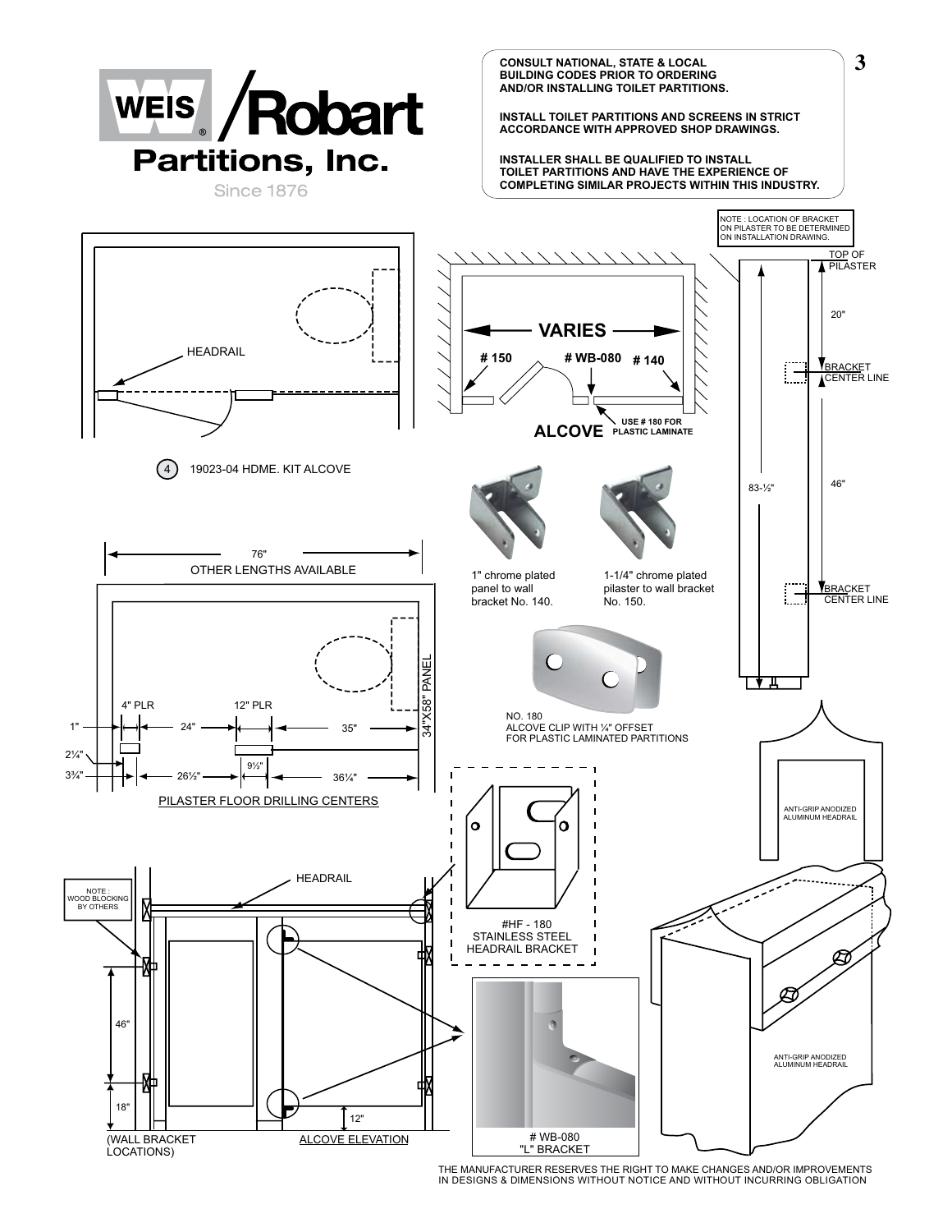

THE MANUFACTURER RESERVES THE RIGHT TO MAKE CHANGES AND/OR IMPROVEMENTS IN DESIGNS & DIMENSIONS WITHOUT NOTICE AND WITHOUT INCURRING OBLIGATION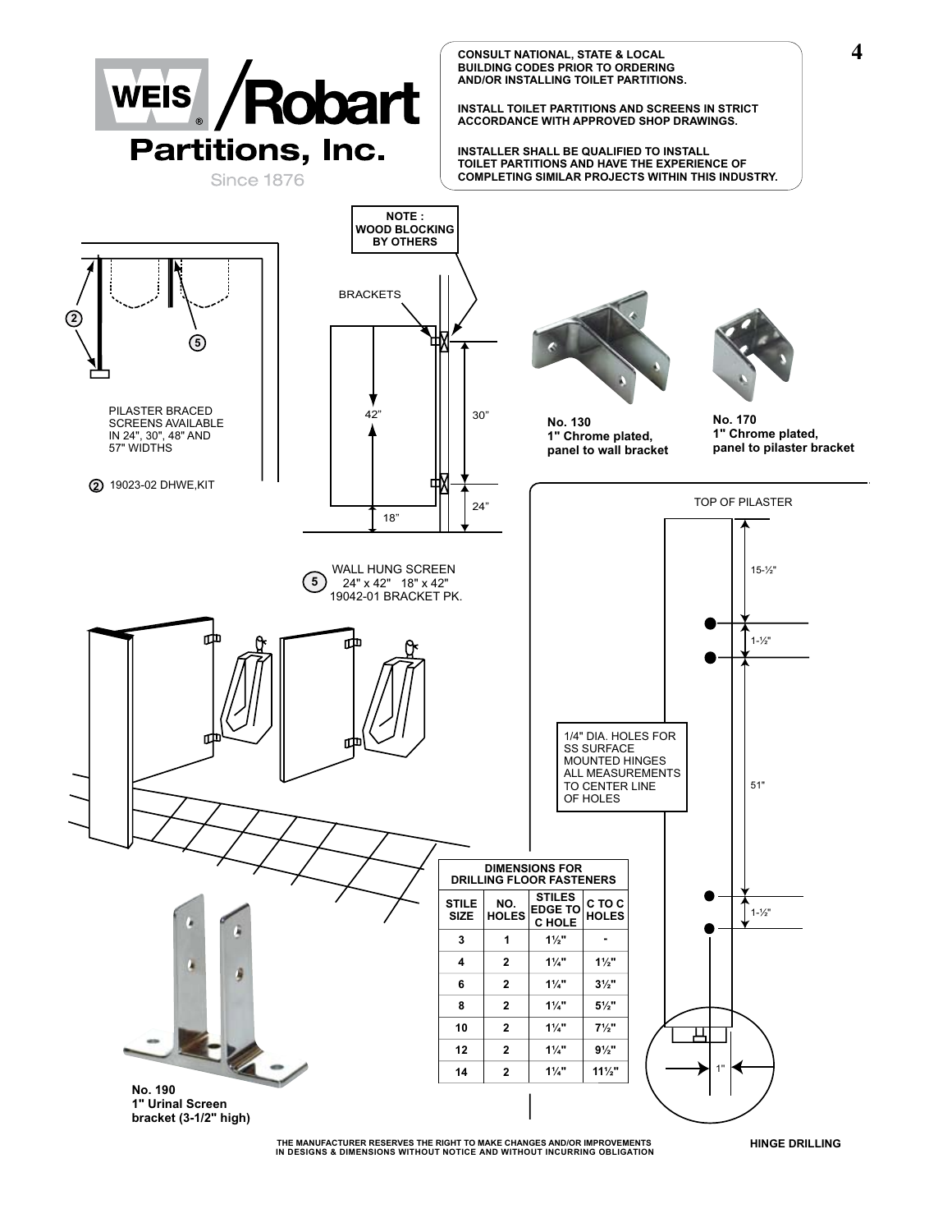

**THE MANUFACTURER RESERVES THE RIGHT TO MAKE CHANGES AND/OR IMPROVEMENTS IN DESIGNS & DIMENSIONS WITHOUT NOTICE AND WITHOUT INCURRING OBLIGATION HINGE DRILLING**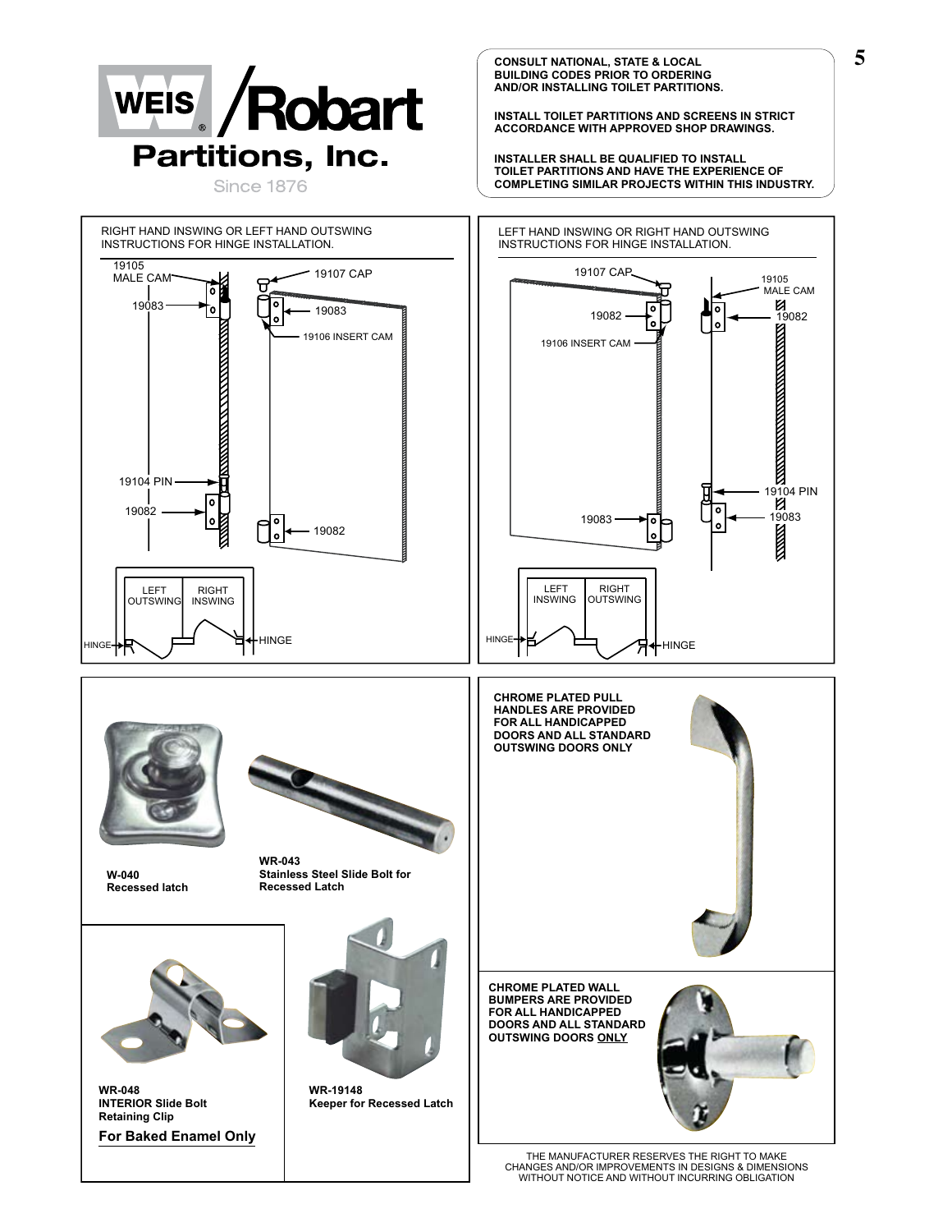

**CONSULT NATIONAL, STATE & LOCAL BUILDING CODES PRIOR TO ORDERING AND/OR INSTALLING TOILET PARTITIONS.**

**INSTALL TOILET PARTITIONS AND SCREENS IN STRICT ACCORDANCE WITH APPROVED SHOP DRAWINGS.**

**INSTALLER SHALL BE QUALIFIED TO INSTALL TOILET PARTITIONS AND HAVE THE EXPERIENCE OF COMPLETING SIMILAR PROJECTS WITHIN THIS INDUSTRY.**